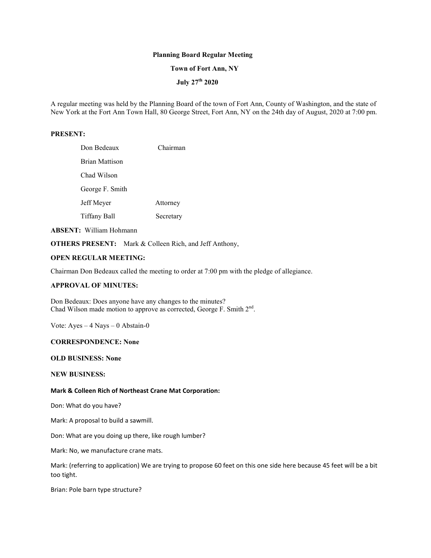# **Planning Board Regular Meeting**

#### **Town of Fort Ann, NY**

# **July 27th 2020**

A regular meeting was held by the Planning Board of the town of Fort Ann, County of Washington, and the state of New York at the Fort Ann Town Hall, 80 George Street, Fort Ann, NY on the 24th day of August, 2020 at 7:00 pm.

#### **PRESENT:**

| Don Bedeaux           | Chairman  |
|-----------------------|-----------|
| <b>Brian Mattison</b> |           |
| Chad Wilson           |           |
| George F. Smith       |           |
| Jeff Meyer            | Attorney  |
| Tiffany Ball          | Secretary |
|                       |           |

**ABSENT:** William Hohmann

**OTHERS PRESENT:** Mark & Colleen Rich, and Jeff Anthony,

# **OPEN REGULAR MEETING:**

Chairman Don Bedeaux called the meeting to order at 7:00 pm with the pledge of allegiance.

### **APPROVAL OF MINUTES:**

Don Bedeaux: Does anyone have any changes to the minutes? Chad Wilson made motion to approve as corrected, George F. Smith  $2<sup>nd</sup>$ .

Vote: Ayes – 4 Nays – 0 Abstain-0

#### **CORRESPONDENCE: None**

#### **OLD BUSINESS: None**

### **NEW BUSINESS:**

#### **Mark & Colleen Rich of Northeast Crane Mat Corporation:**

Don: What do you have?

Mark: A proposal to build a sawmill.

Don: What are you doing up there, like rough lumber?

Mark: No, we manufacture crane mats.

Mark: (referring to application) We are trying to propose 60 feet on this one side here because 45 feet will be a bit too tight.

Brian: Pole barn type structure?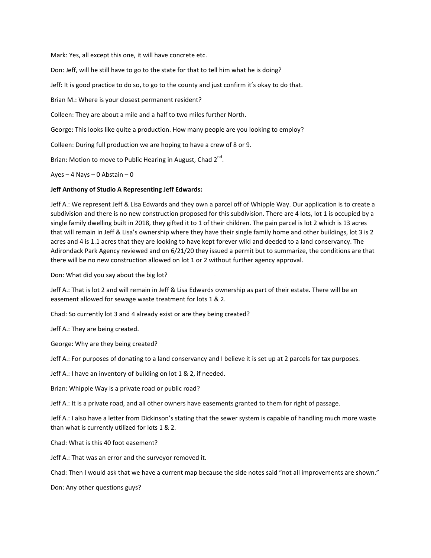Mark: Yes, all except this one, it will have concrete etc.

Don: Jeff, will he still have to go to the state for that to tell him what he is doing?

Jeff: It is good practice to do so, to go to the county and just confirm it's okay to do that.

Brian M.: Where is your closest permanent resident?

Colleen: They are about a mile and a half to two miles further North.

George: This looks like quite a production. How many people are you looking to employ?

Colleen: During full production we are hoping to have a crew of 8 or 9.

Brian: Motion to move to Public Hearing in August, Chad 2<sup>nd</sup>.

Ayes – 4 Nays – 0 Abstain – 0

## **Jeff Anthony of Studio A Representing Jeff Edwards:**

Jeff A.: We represent Jeff & Lisa Edwards and they own a parcel off of Whipple Way. Our application is to create a subdivision and there is no new construction proposed for this subdivision. There are 4 lots, lot 1 is occupied by a single family dwelling built in 2018, they gifted it to 1 of their children. The pain parcel is lot 2 which is 13 acres that will remain in Jeff & Lisa's ownership where they have their single family home and other buildings, lot 3 is 2 acres and 4 is 1.1 acres that they are looking to have kept forever wild and deeded to a land conservancy. The Adirondack Park Agency reviewed and on 6/21/20 they issued a permit but to summarize, the conditions are that there will be no new construction allowed on lot 1 or 2 without further agency approval.

Don: What did you say about the big lot?

Jeff A.: That is lot 2 and will remain in Jeff & Lisa Edwards ownership as part of their estate. There will be an easement allowed for sewage waste treatment for lots 1 & 2.

Chad: So currently lot 3 and 4 already exist or are they being created?

Jeff A.: They are being created.

George: Why are they being created?

Jeff A.: For purposes of donating to a land conservancy and I believe it is set up at 2 parcels for tax purposes.

Jeff A.: I have an inventory of building on lot 1 & 2, if needed.

Brian: Whipple Way is a private road or public road?

Jeff A.: It is a private road, and all other owners have easements granted to them for right of passage.

Jeff A.: I also have a letter from Dickinson's stating that the sewer system is capable of handling much more waste than what is currently utilized for lots 1 & 2.

Chad: What is this 40 foot easement?

Jeff A.: That was an error and the surveyor removed it.

Chad: Then I would ask that we have a current map because the side notes said "not all improvements are shown."

Don: Any other questions guys?